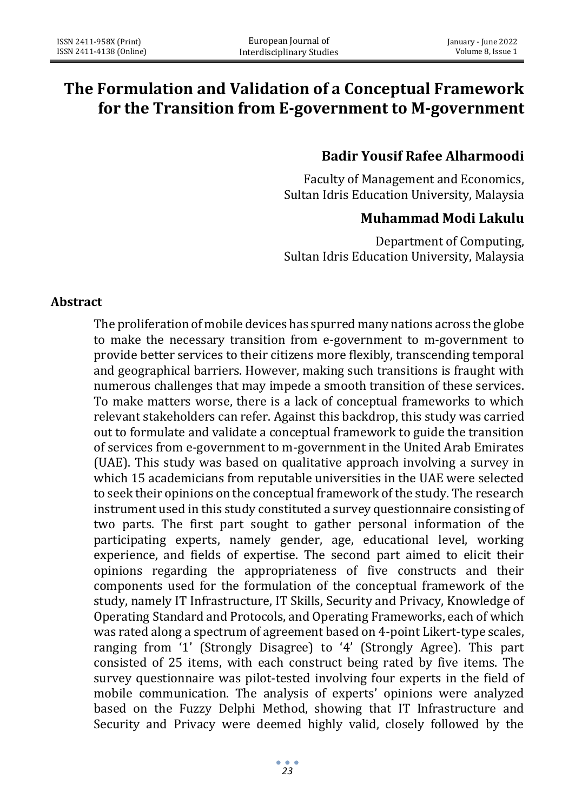# **The Formulation and Validation of a Conceptual Framework for the Transition from E-government to M-government**

## **Badir Yousif Rafee Alharmoodi**

Faculty of Management and Economics, Sultan Idris Education University, Malaysia

## **Muhammad Modi Lakulu**

Department of Computing, Sultan Idris Education University, Malaysia

#### **Abstract**

The proliferation of mobile devices has spurred many nations across the globe to make the necessary transition from e-government to m-government to provide better services to their citizens more flexibly, transcending temporal and geographical barriers. However, making such transitions is fraught with numerous challenges that may impede a smooth transition of these services. To make matters worse, there is a lack of conceptual frameworks to which relevant stakeholders can refer. Against this backdrop, this study was carried out to formulate and validate a conceptual framework to guide the transition of services from e-government to m-government in the United Arab Emirates (UAE). This study was based on qualitative approach involving a survey in which 15 academicians from reputable universities in the UAE were selected to seek their opinions on the conceptual framework of the study. The research instrument used in this study constituted a survey questionnaire consisting of two parts. The first part sought to gather personal information of the participating experts, namely gender, age, educational level, working experience, and fields of expertise. The second part aimed to elicit their opinions regarding the appropriateness of five constructs and their components used for the formulation of the conceptual framework of the study, namely IT Infrastructure, IT Skills, Security and Privacy, Knowledge of Operating Standard and Protocols, and Operating Frameworks, each of which was rated along a spectrum of agreement based on 4-point Likert-type scales, ranging from '1' (Strongly Disagree) to '4' (Strongly Agree). This part consisted of 25 items, with each construct being rated by five items. The survey questionnaire was pilot-tested involving four experts in the field of mobile communication. The analysis of experts' opinions were analyzed based on the Fuzzy Delphi Method, showing that IT Infrastructure and Security and Privacy were deemed highly valid, closely followed by the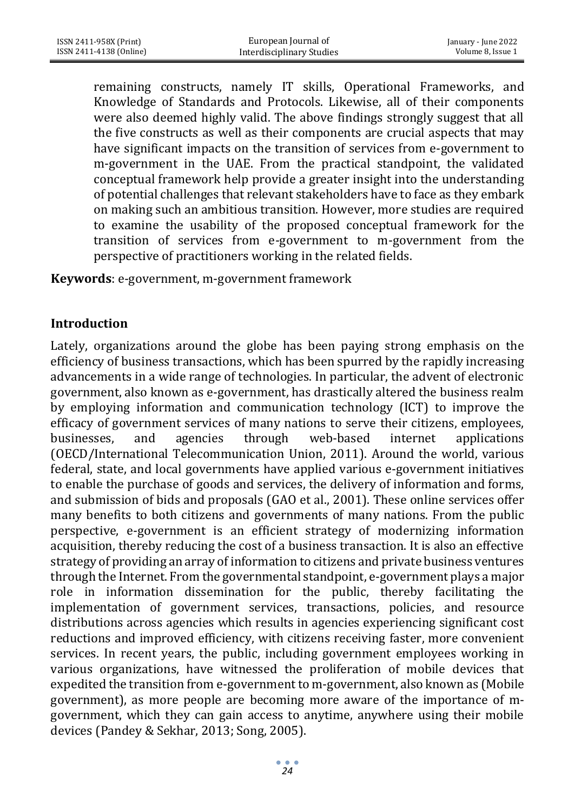remaining constructs, namely IT skills, Operational Frameworks, and Knowledge of Standards and Protocols. Likewise, all of their components were also deemed highly valid. The above findings strongly suggest that all the five constructs as well as their components are crucial aspects that may have significant impacts on the transition of services from e-government to m-government in the UAE. From the practical standpoint, the validated conceptual framework help provide a greater insight into the understanding of potential challenges that relevant stakeholders have to face as they embark on making such an ambitious transition. However, more studies are required to examine the usability of the proposed conceptual framework for the transition of services from e-government to m-government from the perspective of practitioners working in the related fields.

**Keywords**: e-government, m-government framework

### **Introduction**

Lately, organizations around the globe has been paying strong emphasis on the efficiency of business transactions, which has been spurred by the rapidly increasing advancements in a wide range of technologies. In particular, the advent of electronic government, also known as e-government, has drastically altered the business realm by employing information and communication technology (ICT) to improve the efficacy of government services of many nations to serve their citizens, employees, businesses, and agencies through web-based internet applications (OECD/International Telecommunication Union, 2011). Around the world, various federal, state, and local governments have applied various e-government initiatives to enable the purchase of goods and services, the delivery of information and forms, and submission of bids and proposals (GAO et al., 2001). These online services offer many benefits to both citizens and governments of many nations. From the public perspective, e-government is an efficient strategy of modernizing information acquisition, thereby reducing the cost of a business transaction. It is also an effective strategy of providing an array of information to citizens and private business ventures through the Internet. From the governmental standpoint, e-government plays a major role in information dissemination for the public, thereby facilitating the implementation of government services, transactions, policies, and resource distributions across agencies which results in agencies experiencing significant cost reductions and improved efficiency, with citizens receiving faster, more convenient services. In recent years, the public, including government employees working in various organizations, have witnessed the proliferation of mobile devices that expedited the transition from e-government to m-government, also known as (Mobile government), as more people are becoming more aware of the importance of mgovernment, which they can gain access to anytime, anywhere using their mobile devices (Pandey & Sekhar, 2013; Song, 2005).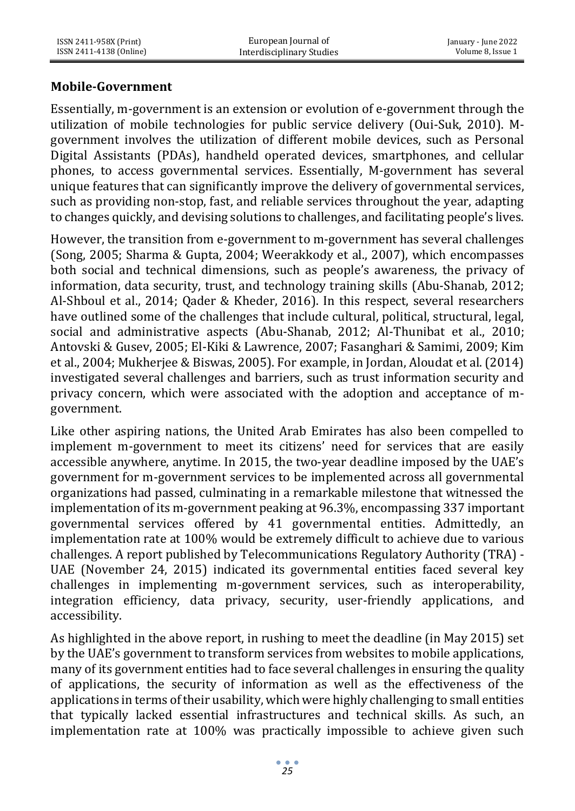### **Mobile-Government**

Essentially, m-government is an extension or evolution of e-government through the utilization of mobile technologies for public service delivery (Oui-Suk, 2010). Mgovernment involves the utilization of different mobile devices, such as Personal Digital Assistants (PDAs), handheld operated devices, smartphones, and cellular phones, to access governmental services. Essentially, M-government has several unique features that can significantly improve the delivery of governmental services, such as providing non-stop, fast, and reliable services throughout the year, adapting to changes quickly, and devising solutions to challenges, and facilitating people's lives.

However, the transition from e-government to m-government has several challenges (Song, 2005; Sharma & Gupta, 2004; Weerakkody et al., 2007), which encompasses both social and technical dimensions, such as people's awareness, the privacy of information, data security, trust, and technology training skills (Abu-Shanab, 2012; Al-Shboul et al., 2014; Qader & Kheder, 2016). In this respect, several researchers have outlined some of the challenges that include cultural, political, structural, legal, social and administrative aspects (Abu-Shanab, 2012; Al-Thunibat et al., 2010; Antovski & Gusev, 2005; El-Kiki & Lawrence, 2007; Fasanghari & Samimi, 2009; Kim et al., 2004; Mukherjee & Biswas, 2005). For example, in Jordan, Aloudat et al. (2014) investigated several challenges and barriers, such as trust information security and privacy concern, which were associated with the adoption and acceptance of mgovernment.

Like other aspiring nations, the United Arab Emirates has also been compelled to implement m-government to meet its citizens' need for services that are easily accessible anywhere, anytime. In 2015, the two-year deadline imposed by the UAE's government for m-government services to be implemented across all governmental organizations had passed, culminating in a remarkable milestone that witnessed the implementation of its m-government peaking at 96.3%, encompassing 337 important governmental services offered by 41 governmental entities. Admittedly, an implementation rate at 100% would be extremely difficult to achieve due to various challenges. A report published by Telecommunications Regulatory Authority (TRA) - UAE (November 24, 2015) indicated its governmental entities faced several key challenges in implementing m-government services, such as interoperability, integration efficiency, data privacy, security, user-friendly applications, and accessibility.

As highlighted in the above report, in rushing to meet the deadline (in May 2015) set by the UAE's government to transform services from websites to mobile applications, many of its government entities had to face several challenges in ensuring the quality of applications, the security of information as well as the effectiveness of the applications in terms of their usability, which were highly challenging to small entities that typically lacked essential infrastructures and technical skills. As such, an implementation rate at 100% was practically impossible to achieve given such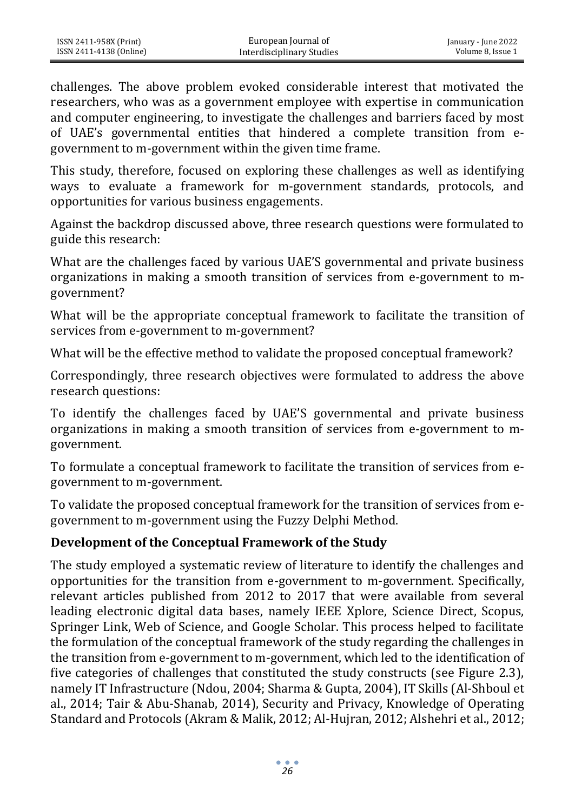challenges. The above problem evoked considerable interest that motivated the researchers, who was as a government employee with expertise in communication and computer engineering, to investigate the challenges and barriers faced by most of UAE's governmental entities that hindered a complete transition from egovernment to m-government within the given time frame.

This study, therefore, focused on exploring these challenges as well as identifying ways to evaluate a framework for m-government standards, protocols, and opportunities for various business engagements.

Against the backdrop discussed above, three research questions were formulated to guide this research:

What are the challenges faced by various UAE'S governmental and private business organizations in making a smooth transition of services from e-government to mgovernment?

What will be the appropriate conceptual framework to facilitate the transition of services from e-government to m-government?

What will be the effective method to validate the proposed conceptual framework?

Correspondingly, three research objectives were formulated to address the above research questions:

To identify the challenges faced by UAE'S governmental and private business organizations in making a smooth transition of services from e-government to mgovernment.

To formulate a conceptual framework to facilitate the transition of services from egovernment to m-government.

To validate the proposed conceptual framework for the transition of services from egovernment to m-government using the Fuzzy Delphi Method.

## **Development of the Conceptual Framework of the Study**

The study employed a systematic review of literature to identify the challenges and opportunities for the transition from e-government to m-government. Specifically, relevant articles published from 2012 to 2017 that were available from several leading electronic digital data bases, namely IEEE Xplore, Science Direct, Scopus, Springer Link, Web of Science, and Google Scholar. This process helped to facilitate the formulation of the conceptual framework of the study regarding the challenges in the transition from e-government to m-government, which led to the identification of five categories of challenges that constituted the study constructs (see Figure 2.3), namely IT Infrastructure (Ndou, 2004; Sharma & Gupta, 2004), IT Skills (Al-Shboul et al., 2014; Tair & Abu-Shanab, 2014), Security and Privacy, Knowledge of Operating Standard and Protocols (Akram & Malik, 2012; Al-Hujran, 2012; Alshehri et al., 2012;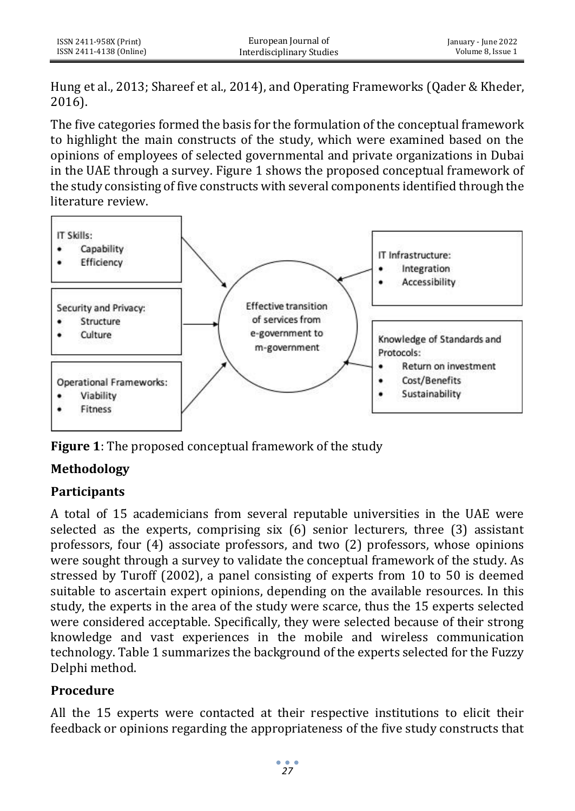Hung et al., 2013; Shareef et al., 2014), and Operating Frameworks (Qader & Kheder, 2016).

The five categories formed the basis for the formulation of the conceptual framework to highlight the main constructs of the study, which were examined based on the opinions of employees of selected governmental and private organizations in Dubai in the UAE through a survey. Figure 1 shows the proposed conceptual framework of the study consisting of five constructs with several components identified through the literature review.



**Figure 1**: The proposed conceptual framework of the study

# **Methodology**

## **Participants**

A total of 15 academicians from several reputable universities in the UAE were selected as the experts, comprising six (6) senior lecturers, three (3) assistant professors, four (4) associate professors, and two (2) professors, whose opinions were sought through a survey to validate the conceptual framework of the study. As stressed by Turoff (2002), a panel consisting of experts from 10 to 50 is deemed suitable to ascertain expert opinions, depending on the available resources. In this study, the experts in the area of the study were scarce, thus the 15 experts selected were considered acceptable. Specifically, they were selected because of their strong knowledge and vast experiences in the mobile and wireless communication technology. Table 1 summarizes the background of the experts selected for the Fuzzy Delphi method.

## **Procedure**

All the 15 experts were contacted at their respective institutions to elicit their feedback or opinions regarding the appropriateness of the five study constructs that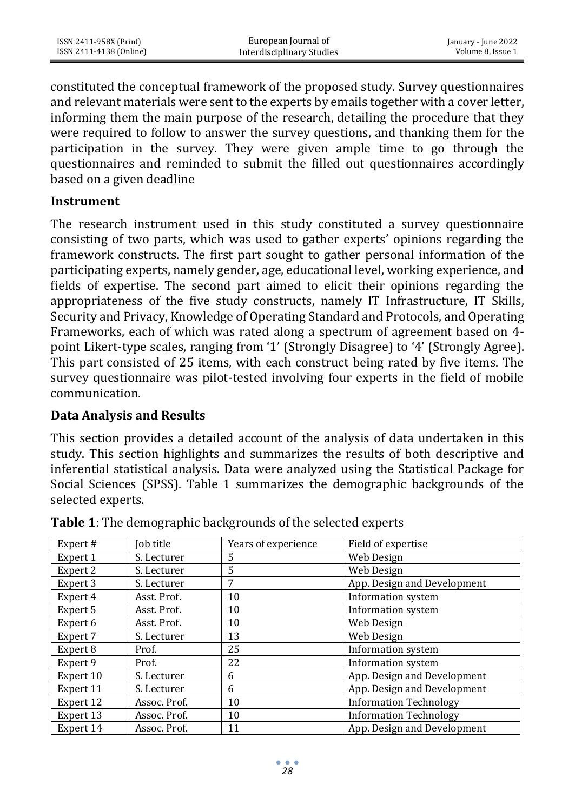constituted the conceptual framework of the proposed study. Survey questionnaires and relevant materials were sent to the experts by emails together with a cover letter, informing them the main purpose of the research, detailing the procedure that they were required to follow to answer the survey questions, and thanking them for the participation in the survey. They were given ample time to go through the questionnaires and reminded to submit the filled out questionnaires accordingly based on a given deadline

#### **Instrument**

The research instrument used in this study constituted a survey questionnaire consisting of two parts, which was used to gather experts' opinions regarding the framework constructs. The first part sought to gather personal information of the participating experts, namely gender, age, educational level, working experience, and fields of expertise. The second part aimed to elicit their opinions regarding the appropriateness of the five study constructs, namely IT Infrastructure, IT Skills, Security and Privacy, Knowledge of Operating Standard and Protocols, and Operating Frameworks, each of which was rated along a spectrum of agreement based on 4 point Likert-type scales, ranging from '1' (Strongly Disagree) to '4' (Strongly Agree). This part consisted of 25 items, with each construct being rated by five items. The survey questionnaire was pilot-tested involving four experts in the field of mobile communication.

### **Data Analysis and Results**

This section provides a detailed account of the analysis of data undertaken in this study. This section highlights and summarizes the results of both descriptive and inferential statistical analysis. Data were analyzed using the Statistical Package for Social Sciences (SPSS). Table 1 summarizes the demographic backgrounds of the selected experts.

| Expert#   | Job title    | Years of experience | Field of expertise            |
|-----------|--------------|---------------------|-------------------------------|
| Expert 1  | S. Lecturer  | 5                   | Web Design                    |
| Expert 2  | S. Lecturer  | 5                   | Web Design                    |
| Expert 3  | S. Lecturer  | 7                   | App. Design and Development   |
| Expert 4  | Asst. Prof.  | 10                  | Information system            |
| Expert 5  | Asst. Prof.  | 10                  | Information system            |
| Expert 6  | Asst. Prof.  | 10                  | Web Design                    |
| Expert 7  | S. Lecturer  | 13                  | Web Design                    |
| Expert 8  | Prof.        | 25                  | Information system            |
| Expert 9  | Prof.        | 22                  | Information system            |
| Expert 10 | S. Lecturer  | 6                   | App. Design and Development   |
| Expert 11 | S. Lecturer  | 6                   | App. Design and Development   |
| Expert 12 | Assoc. Prof. | 10                  | <b>Information Technology</b> |
| Expert 13 | Assoc. Prof. | 10                  | <b>Information Technology</b> |
| Expert 14 | Assoc. Prof. | 11                  | App. Design and Development   |

**Table 1**: The demographic backgrounds of the selected experts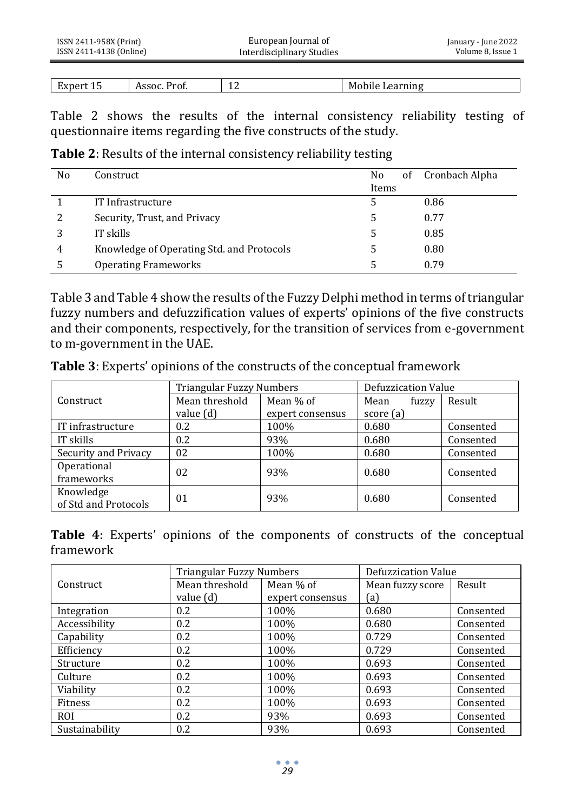| ISSN 2411-958X (Print)  | European Journal of       | January - June 2022 |
|-------------------------|---------------------------|---------------------|
| ISSN 2411-4138 (Online) | Interdisciplinary Studies | Volume 8, Issue 1   |
|                         |                           |                     |

|        |                      | -  |                                   |
|--------|----------------------|----|-----------------------------------|
| LXDer" | Assoc.<br>rot.<br>__ | -- | Learning<br>M<br>- -<br>-rophie : |

Table 2 shows the results of the internal consistency reliability testing of questionnaire items regarding the five constructs of the study.

**Table 2**: Results of the internal consistency reliability testing

| No | Construct                                 | No<br>Items | of Cronbach Alpha |
|----|-------------------------------------------|-------------|-------------------|
|    | IT Infrastructure                         |             | 0.86              |
|    | Security, Trust, and Privacy              | 5           | 0.77              |
| 3  | IT skills                                 | 5           | 0.85              |
| 4  | Knowledge of Operating Std. and Protocols |             | 0.80              |
| 5  | <b>Operating Frameworks</b>               |             | 0.79              |

Table 3 and Table 4 show the results of the Fuzzy Delphi method in terms of triangular fuzzy numbers and defuzzification values of experts' opinions of the five constructs and their components, respectively, for the transition of services from e-government to m-government in the UAE.

|  |  |  | Table 3: Experts' opinions of the constructs of the conceptual framework |
|--|--|--|--------------------------------------------------------------------------|
|--|--|--|--------------------------------------------------------------------------|

|                      | <b>Triangular Fuzzy Numbers</b> |                  | Defuzzication Value |                 |
|----------------------|---------------------------------|------------------|---------------------|-----------------|
| Construct            | Mean threshold                  | Mean % of        | Mean                | Result<br>fuzzy |
|                      | value (d)                       | expert consensus | score (a)           |                 |
| IT infrastructure    | 0.2                             | 100%             | 0.680               | Consented       |
| IT skills            | 0.2                             | 93%              | 0.680               | Consented       |
| Security and Privacy | 02                              | 100%             | 0.680               | Consented       |
| Operational          | 02                              | 93%              | 0.680               | Consented       |
| frameworks           |                                 |                  |                     |                 |
| Knowledge            | 01                              | 93%              | 0.680               | Consented       |
| of Std and Protocols |                                 |                  |                     |                 |

**Table 4**: Experts' opinions of the components of constructs of the conceptual framework

|                | Triangular Fuzzy Numbers |                  | Defuzzication Value |           |
|----------------|--------------------------|------------------|---------------------|-----------|
| Construct      | Mean threshold           | Mean % of        | Mean fuzzy score    | Result    |
|                | value (d)                | expert consensus | (a)                 |           |
| Integration    | 0.2                      | 100%             | 0.680               | Consented |
| Accessibility  | 0.2                      | 100%             | 0.680               | Consented |
| Capability     | 0.2                      | 100%             | 0.729               | Consented |
| Efficiency     | 0.2                      | 100%             | 0.729               | Consented |
| Structure      | 0.2                      | 100%             | 0.693               | Consented |
| Culture        | 0.2                      | 100%             | 0.693               | Consented |
| Viability      | 0.2                      | 100%             | 0.693               | Consented |
| Fitness        | 0.2                      | 100%             | 0.693               | Consented |
| <b>ROI</b>     | 0.2                      | 93%              | 0.693               | Consented |
| Sustainability | 0.2                      | 93%              | 0.693               | Consented |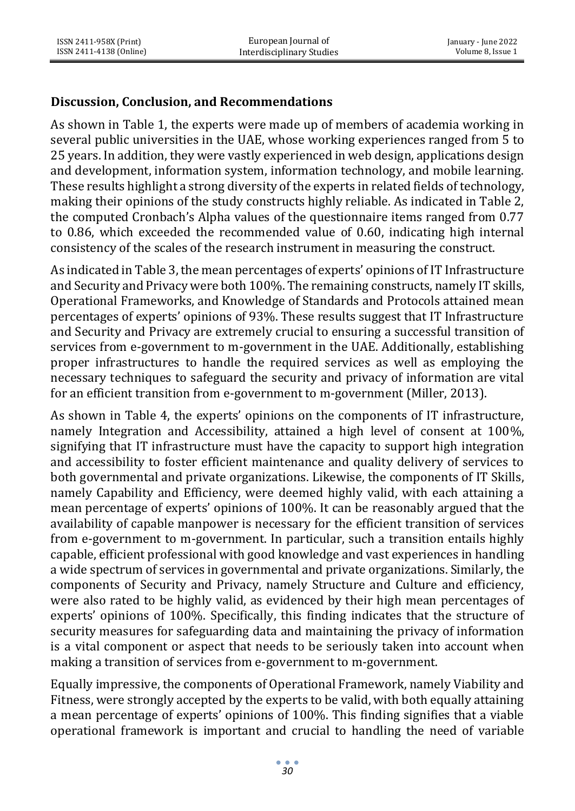## **Discussion, Conclusion, and Recommendations**

As shown in Table 1, the experts were made up of members of academia working in several public universities in the UAE, whose working experiences ranged from 5 to 25 years. In addition, they were vastly experienced in web design, applications design and development, information system, information technology, and mobile learning. These results highlight a strong diversity of the experts in related fields of technology, making their opinions of the study constructs highly reliable. As indicated in Table 2, the computed Cronbach's Alpha values of the questionnaire items ranged from 0.77 to 0.86, which exceeded the recommended value of 0.60, indicating high internal consistency of the scales of the research instrument in measuring the construct.

As indicated in Table 3, the mean percentages of experts' opinions of IT Infrastructure and Security and Privacy were both 100%. The remaining constructs, namely IT skills, Operational Frameworks, and Knowledge of Standards and Protocols attained mean percentages of experts' opinions of 93%. These results suggest that IT Infrastructure and Security and Privacy are extremely crucial to ensuring a successful transition of services from e-government to m-government in the UAE. Additionally, establishing proper infrastructures to handle the required services as well as employing the necessary techniques to safeguard the security and privacy of information are vital for an efficient transition from e-government to m-government (Miller, 2013).

As shown in Table 4, the experts' opinions on the components of IT infrastructure, namely Integration and Accessibility, attained a high level of consent at 100%, signifying that IT infrastructure must have the capacity to support high integration and accessibility to foster efficient maintenance and quality delivery of services to both governmental and private organizations. Likewise, the components of IT Skills, namely Capability and Efficiency, were deemed highly valid, with each attaining a mean percentage of experts' opinions of 100%. It can be reasonably argued that the availability of capable manpower is necessary for the efficient transition of services from e-government to m-government. In particular, such a transition entails highly capable, efficient professional with good knowledge and vast experiences in handling a wide spectrum of services in governmental and private organizations. Similarly, the components of Security and Privacy, namely Structure and Culture and efficiency, were also rated to be highly valid, as evidenced by their high mean percentages of experts' opinions of 100%. Specifically, this finding indicates that the structure of security measures for safeguarding data and maintaining the privacy of information is a vital component or aspect that needs to be seriously taken into account when making a transition of services from e-government to m-government.

Equally impressive, the components of Operational Framework, namely Viability and Fitness, were strongly accepted by the experts to be valid, with both equally attaining a mean percentage of experts' opinions of 100%. This finding signifies that a viable operational framework is important and crucial to handling the need of variable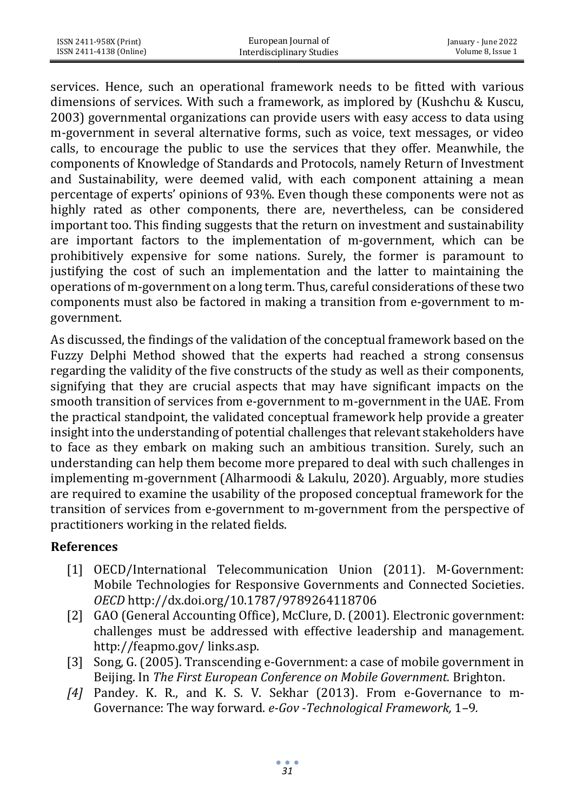| ISSN 2411-958X (Print)  | European Journal of       | January - June 2022 |
|-------------------------|---------------------------|---------------------|
| ISSN 2411-4138 (Online) | Interdisciplinary Studies | Volume 8. Issue 1   |

services. Hence, such an operational framework needs to be fitted with various dimensions of services. With such a framework, as implored by (Kushchu & Kuscu, 2003) governmental organizations can provide users with easy access to data using m-government in several alternative forms, such as voice, text messages, or video calls, to encourage the public to use the services that they offer. Meanwhile, the components of Knowledge of Standards and Protocols, namely Return of Investment and Sustainability, were deemed valid, with each component attaining a mean percentage of experts' opinions of 93%. Even though these components were not as highly rated as other components, there are, nevertheless, can be considered important too. This finding suggests that the return on investment and sustainability are important factors to the implementation of m-government, which can be prohibitively expensive for some nations. Surely, the former is paramount to justifying the cost of such an implementation and the latter to maintaining the operations of m-government on a long term. Thus, careful considerations of these two components must also be factored in making a transition from e-government to mgovernment.

As discussed, the findings of the validation of the conceptual framework based on the Fuzzy Delphi Method showed that the experts had reached a strong consensus regarding the validity of the five constructs of the study as well as their components, signifying that they are crucial aspects that may have significant impacts on the smooth transition of services from e-government to m-government in the UAE. From the practical standpoint, the validated conceptual framework help provide a greater insight into the understanding of potential challenges that relevant stakeholders have to face as they embark on making such an ambitious transition. Surely, such an understanding can help them become more prepared to deal with such challenges in implementing m-government (Alharmoodi & Lakulu, 2020). Arguably, more studies are required to examine the usability of the proposed conceptual framework for the transition of services from e-government to m-government from the perspective of practitioners working in the related fields.

### **References**

- [1] OECD/International Telecommunication Union (2011). M-Government: Mobile Technologies for Responsive Governments and Connected Societies. *OECD* http://dx.doi.org/10.1787/9789264118706
- [2] GAO (General Accounting Office), McClure, D. (2001). Electronic government: challenges must be addressed with effective leadership and management. <http://feapmo.gov/> links.asp.
- [3] Song, G. (2005). Transcending e-Government: a case of mobile government in Beijing. In *The First European Conference on Mobile Government.* Brighton.
- *[4]* Pandey. K. R., and K. S. V. Sekhar (2013). From e-Governance to m-Governance: The way forward. *e-Gov -Technological Framework,* 1–9*.*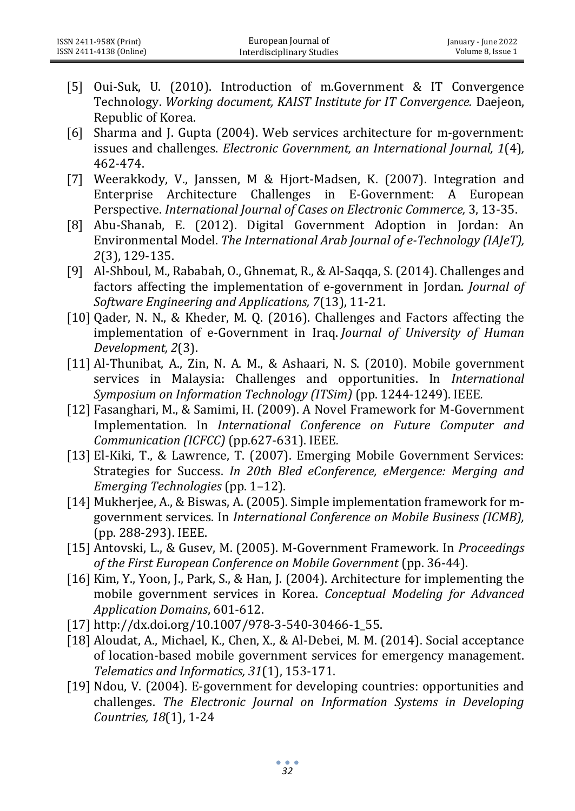- [5] Oui-Suk, U. (2010). Introduction of m.Government & IT Convergence Technology. *Working document, KAIST Institute for IT Convergence.* Daejeon, Republic of Korea.
- [6] Sharma and J. Gupta (2004). Web services architecture for m-government: issues and challenges. *Electronic Government, an International Journal, 1*(4)*,*  462-474.
- [7] Weerakkody, V., Janssen, M & Hjort-Madsen, K. (2007). Integration and Enterprise Architecture Challenges in E-Government: A European Perspective. *International Journal of Cases on Electronic Commerce,* 3, 13-35.
- [8] Abu-Shanab, E. (2012). Digital Government Adoption in Jordan: An Environmental Model. *The International Arab Journal of e-Technology (IAJeT), 2*(3), 129-135.
- [9] Al-Shboul, M., Rababah, O., Ghnemat, R., & Al-Saqqa, S. (2014). Challenges and factors affecting the implementation of e-government in Jordan. *Journal of Software Engineering and Applications, 7*(13), 11-21.
- [10] Qader, N. N., & Kheder, M. Q. (2016). Challenges and Factors affecting the implementation of e-Government in Iraq. *Journal of University of Human Development, 2*(3).
- [11] Al-Thunibat, A., Zin, N. A. M., & Ashaari, N. S. (2010). Mobile government services in Malaysia: Challenges and opportunities. In *International Symposium on Information Technology (ITSim)* (pp. 1244-1249). IEEE*.*
- [12] Fasanghari, M., & Samimi, H. (2009). A Novel Framework for M-Government Implementation. In *International Conference on Future Computer and Communication (ICFCC)* (pp.627-631). IEEE*.*
- [13] El-Kiki, T., & Lawrence, T. (2007). Emerging Mobile Government Services: Strategies for Success. *In 20th Bled eConference, eMergence: Merging and Emerging Technologies* (pp. 1–12).
- [14] Mukherjee, A., & Biswas, A. (2005). Simple implementation framework for mgovernment services. In *International Conference on Mobile Business (ICMB),*  (pp. 288-293). IEEE.
- [15] Antovski, L., & Gusev, M. (2005). M-Government Framework. In *Proceedings of the First European Conference on Mobile Government* (pp. 36-44).
- [16] Kim, Y., Yoon, J., Park, S., & Han, J. (2004). Architecture for implementing the mobile government services in Korea. *Conceptual Modeling for Advanced Application Domains*, 601-612.
- [17] http://dx.doi.org/10.1007/978-3-540-30466-1\_55.
- [18] Aloudat, A., Michael, K., Chen, X., & Al-Debei, M. M. (2014). Social acceptance of location-based mobile government services for emergency management. *Telematics and Informatics, 31*(1), 153-171.
- [19] Ndou, V. (2004). E-government for developing countries: opportunities and challenges. *The Electronic Journal on Information Systems in Developing Countries, 18*(1), 1-24